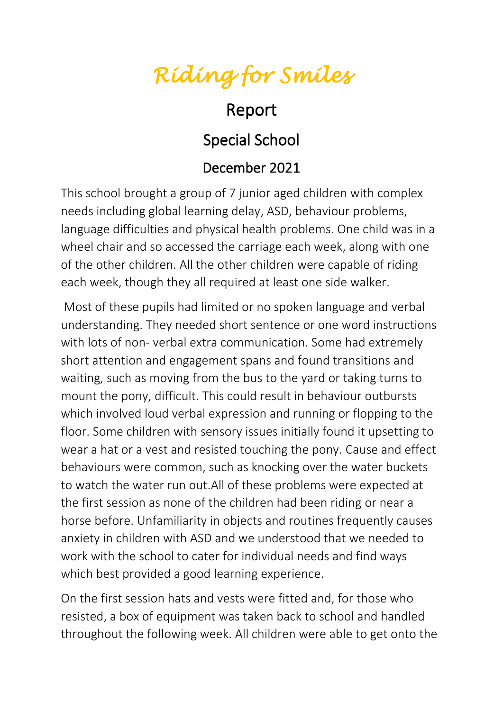## *Riding for Smiles*

## Report

## Special School

## December 2021

This school brought a group of 7 junior aged children with complex needs including global learning delay, ASD, behaviour problems, language difficulties and physical health problems. One child was in a wheel chair and so accessed the carriage each week, along with one of the other children. All the other children were capable of riding each week, though they all required at least one side walker.

Most of these pupils had limited or no spoken language and verbal understanding. They needed short sentence or one word instructions with lots of non- verbal extra communication. Some had extremely short attention and engagement spans and found transitions and waiting, such as moving from the bus to the yard or taking turns to mount the pony, difficult. This could result in behaviour outbursts which involved loud verbal expression and running or flopping to the floor. Some children with sensory issues initially found it upsetting to wear a hat or a vest and resisted touching the pony. Cause and effect behaviours were common, such as knocking over the water buckets to watch the water run out.All of these problems were expected at the first session as none of the children had been riding or near a horse before. Unfamiliarity in objects and routines frequently causes anxiety in children with ASD and we understood that we needed to work with the school to cater for individual needs and find ways which best provided a good learning experience.

On the first session hats and vests were fitted and, for those who resisted, a box of equipment was taken back to school and handled throughout the following week. All children were able to get onto the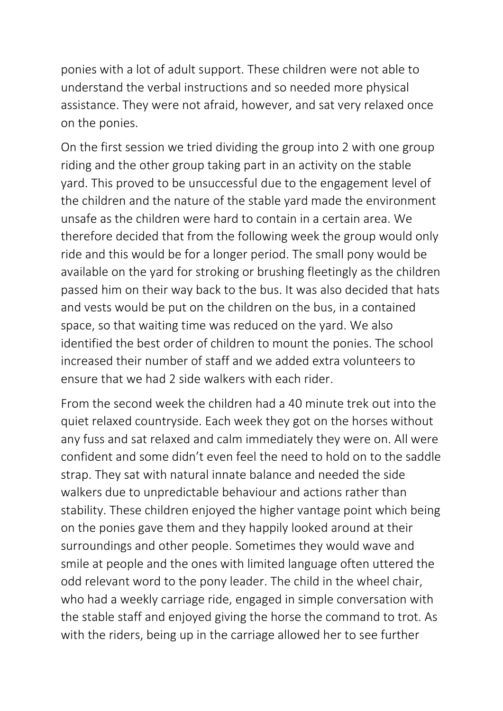ponies with a lot of adult support. These children were not able to understand the verbal instructions and so needed more physical assistance. They were not afraid, however, and sat very relaxed once on the ponies.

On the first session we tried dividing the group into 2 with one group riding and the other group taking part in an activity on the stable yard. This proved to be unsuccessful due to the engagement level of the children and the nature of the stable yard made the environment unsafe as the children were hard to contain in a certain area. We therefore decided that from the following week the group would only ride and this would be for a longer period. The small pony would be available on the yard for stroking or brushing fleetingly as the children passed him on their way back to the bus. It was also decided that hats and vests would be put on the children on the bus, in a contained space, so that waiting time was reduced on the yard. We also identified the best order of children to mount the ponies. The school increased their number of staff and we added extra volunteers to ensure that we had 2 side walkers with each rider.

From the second week the children had a 40 minute trek out into the quiet relaxed countryside. Each week they got on the horses without any fuss and sat relaxed and calm immediately they were on. All were confident and some didn't even feel the need to hold on to the saddle strap. They sat with natural innate balance and needed the side walkers due to unpredictable behaviour and actions rather than stability. These children enjoyed the higher vantage point which being on the ponies gave them and they happily looked around at their surroundings and other people. Sometimes they would wave and smile at people and the ones with limited language often uttered the odd relevant word to the pony leader. The child in the wheel chair, who had a weekly carriage ride, engaged in simple conversation with the stable staff and enjoyed giving the horse the command to trot. As with the riders, being up in the carriage allowed her to see further